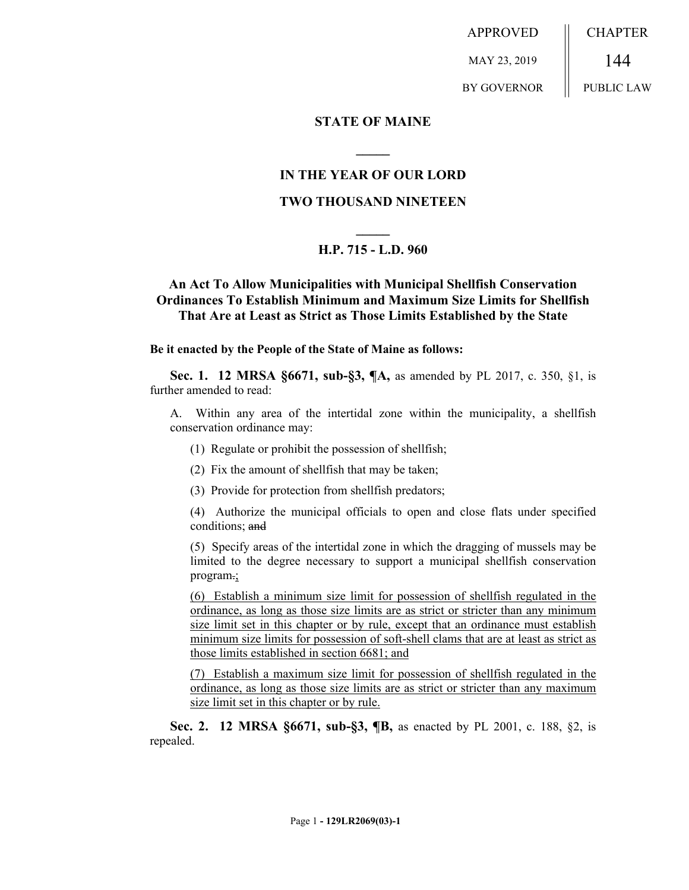APPROVED MAY 23, 2019 BY GOVERNOR CHAPTER 144 PUBLIC LAW

### **STATE OF MAINE**

### **IN THE YEAR OF OUR LORD**

**\_\_\_\_\_**

## **TWO THOUSAND NINETEEN**

# **\_\_\_\_\_ H.P. 715 - L.D. 960**

## **An Act To Allow Municipalities with Municipal Shellfish Conservation Ordinances To Establish Minimum and Maximum Size Limits for Shellfish That Are at Least as Strict as Those Limits Established by the State**

#### **Be it enacted by the People of the State of Maine as follows:**

**Sec. 1. 12 MRSA §6671, sub-§3, ¶A,** as amended by PL 2017, c. 350, §1, is further amended to read:

A. Within any area of the intertidal zone within the municipality, a shellfish conservation ordinance may:

- (1) Regulate or prohibit the possession of shellfish;
- (2) Fix the amount of shellfish that may be taken;
- (3) Provide for protection from shellfish predators;
- (4) Authorize the municipal officials to open and close flats under specified conditions; and

(5) Specify areas of the intertidal zone in which the dragging of mussels may be limited to the degree necessary to support a municipal shellfish conservation program.;

(6) Establish a minimum size limit for possession of shellfish regulated in the ordinance, as long as those size limits are as strict or stricter than any minimum size limit set in this chapter or by rule, except that an ordinance must establish minimum size limits for possession of soft-shell clams that are at least as strict as those limits established in section 6681; and

(7) Establish a maximum size limit for possession of shellfish regulated in the ordinance, as long as those size limits are as strict or stricter than any maximum size limit set in this chapter or by rule.

**Sec. 2. 12 MRSA §6671, sub-§3, ¶B,** as enacted by PL 2001, c. 188, §2, is repealed.